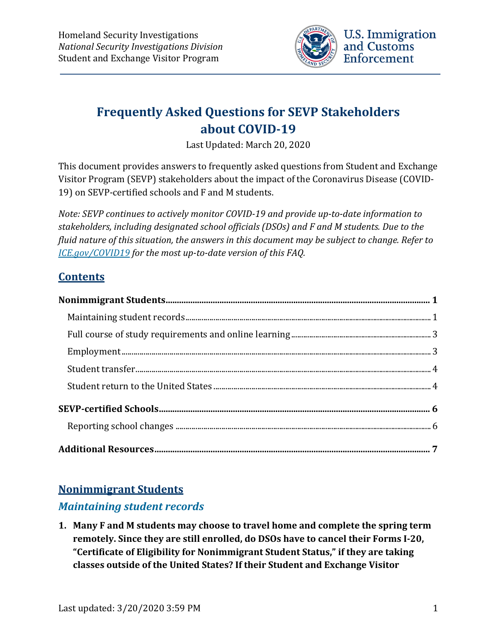

# **Frequently Asked Questions for SEVP Stakeholders about COVID-19**

Last Updated: March 20, 2020

This document provides answers to frequently asked questions from Student and Exchange Visitor Program (SEVP) stakeholders about the impact of the Coronavirus Disease (COVID-19) on SEVP-certified schools and F and M students.

*Note: SEVP continues to actively monitor COVID-19 and provide up-to-date information to stakeholders, including designated school officials (DSOs) and F and M students. Due to the fluid nature of this situation, the answers in this document may be subject to change. Refer to [ICE.gov/COVID19](https://www.ice.gov/covid19) for the most up-to-date version of this FAQ.*

## **Contents**

## <span id="page-0-0"></span>**Nonimmigrant Students**

## <span id="page-0-1"></span>*Maintaining student records*

**1. Many F and M students may choose to travel home and complete the spring term remotely. Since they are still enrolled, do DSOs have to cancel their Forms I-20, "Certificate of Eligibility for Nonimmigrant Student Status," if they are taking classes outside of the United States? If their Student and Exchange Visitor**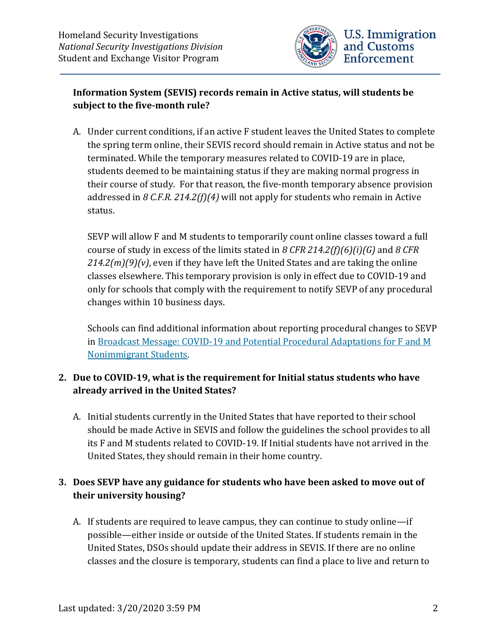

#### **Information System (SEVIS) records remain in Active status, will students be subject to the five-month rule?**

A. Under current conditions, if an active F student leaves the United States to complete the spring term online, their SEVIS record should remain in Active status and not be terminated. While the temporary measures related to COVID-19 are in place, students deemed to be maintaining status if they are making normal progress in their course of study. For that reason, the five-month temporary absence provision addressed in *8 C.F.R. 214.2(f)(4)* will not apply for students who remain in Active status.

SEVP will allow F and M students to temporarily count online classes toward a full course of study in excess of the limits stated in *8 CFR 214.2(f)(6)(i)(G)* and *8 CFR 214.2(m)(9)(v)*, even if they have left the United States and are taking the online classes elsewhere. This temporary provision is only in effect due to COVID-19 and only for schools that comply with the requirement to notify SEVP of any procedural changes within 10 business days.

Schools can find additional information about reporting procedural changes to SEVP in Broadcast Message: COVID-19 [and Potential Procedural Adaptations for F and M](https://www.ice.gov/sites/default/files/documents/Document/2020/Coronavirus%20Guidance_3.13.20.pdf)  [Nonimmigrant Students.](https://www.ice.gov/sites/default/files/documents/Document/2020/Coronavirus%20Guidance_3.13.20.pdf)

#### **2. Due to COVID-19, what is the requirement for Initial status students who have already arrived in the United States?**

A. Initial students currently in the United States that have reported to their school should be made Active in SEVIS and follow the guidelines the school provides to all its F and M students related to COVID-19. If Initial students have not arrived in the United States, they should remain in their home country.

## **3. Does SEVP have any guidance for students who have been asked to move out of their university housing?**

A. If students are required to leave campus, they can continue to study online—if possible—either inside or outside of the United States. If students remain in the United States, DSOs should update their address in SEVIS. If there are no online classes and the closure is temporary, students can find a place to live and return to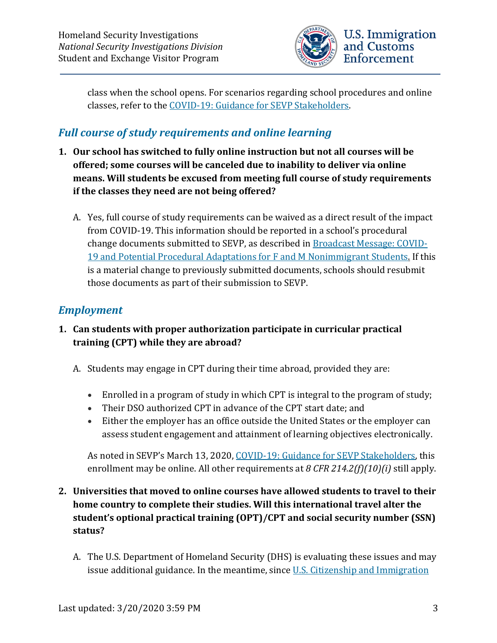

class when the school opens. For scenarios regarding school procedures and online classes, refer to the [COVID-19: Guidance for SEVP Stakeholders.](https://www.ice.gov/sites/default/files/documents/Document/2020/Coronavirus%20Guidance_3.13.20.pdf)

## <span id="page-2-0"></span>*Full course of study requirements and online learning*

- **1. Our school has switched to fully online instruction but not all courses will be offered; some courses will be canceled due to inability to deliver via online means. Will students be excused from meeting full course of study requirements if the classes they need are not being offered?**
	- A. Yes, full course of study requirements can be waived as a direct result of the impact from COVID-19. This information should be reported in a school's procedural change documents submitted to SEVP, as described in [Broadcast Message: COVID-](https://www.ice.gov/sites/default/files/documents/Document/2020/Coronavirus%20Guidance_3.13.20.pdf)[19 and Potential Procedural Adaptations for F and M Nonimmigrant Students.](https://www.ice.gov/sites/default/files/documents/Document/2020/Coronavirus%20Guidance_3.13.20.pdf) If this is a material change to previously submitted documents, schools should resubmit those documents as part of their submission to SEVP.

## <span id="page-2-1"></span>*Employment*

## **1. Can students with proper authorization participate in curricular practical training (CPT) while they are abroad?**

- A. Students may engage in CPT during their time abroad, provided they are:
	- Enrolled in a program of study in which CPT is integral to the program of study;
	- Their DSO authorized CPT in advance of the CPT start date; and
	- Either the employer has an office outside the United States or the employer can assess student engagement and attainment of learning objectives electronically.

As noted in SEVP's March 13, 2020, COVID-19: Guidance for SEVP Stakeholders. this enrollment may be online. All other requirements at *8 CFR 214.2(f)(10)(i)* still apply.

- **2. Universities that moved to online courses have allowed students to travel to their home country to complete their studies. Will this international travel alter the student's optional practical training (OPT)/CPT and social security number (SSN) status?**
	- A. The U.S. Department of Homeland Security (DHS) is evaluating these issues and may issue additional guidance. In the meantime, since U.S. Citizenship and Immigration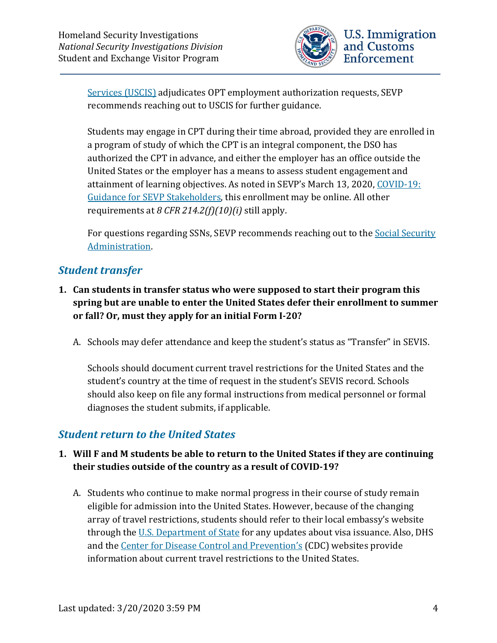

[Services \(USCIS\)](https://www.uscis.gov/) adjudicates OPT employment authorization requests, SEVP recommends reaching out to USCIS for further guidance.

Students may engage in CPT during their time abroad, provided they are enrolled in a program of study of which the CPT is an integral component, the DSO has authorized the CPT in advance, and either the employer has an office outside the United States or the employer has a means to assess student engagement and attainment of learning objectives. As noted in SEVP's March 13, 2020, COVID-19: [Guidance for SEVP Stakeholders,](https://www.ice.gov/sites/default/files/documents/Document/2020/Coronavirus%20Guidance_3.13.20.pdf) this enrollment may be online. All other requirements at *8 CFR 214.2(f)(10)(i)* still apply.

For questions regarding SSNs, SEVP recommends reaching out to the Social Security [Administration.](https://www.ssa.gov/)

## <span id="page-3-0"></span>*Student transfer*

- **1. Can students in transfer status who were supposed to start their program this spring but are unable to enter the United States defer their enrollment to summer or fall? Or, must they apply for an initial Form I-20?**
	- A. Schools may defer attendance and keep the student's status as "Transfer" in SEVIS.

Schools should document current travel restrictions for the United States and the student's country at the time of request in the student's SEVIS record. Schools should also keep on file any formal instructions from medical personnel or formal diagnoses the student submits, if applicable.

#### <span id="page-3-1"></span>*Student return to the United States*

#### **1. Will F and M students be able to return to the United States if they are continuing their studies outside of the country as a result of COVID-19?**

A. Students who continue to make normal progress in their course of study remain eligible for admission into the United States. However, because of the changing array of travel restrictions, students should refer to their local embassy's website through the [U.S. Department of State](https://travel.state.gov/content/travel/en/traveladvisories/ea/covid-19-information.html#_blank) for any updates about visa issuance. Also, DHS and the [Center for Disease Control and Prevention's](https://www.cdc.gov/coronavirus/2019-ncov/travelers/index.html) (CDC) websites provide information about current travel restrictions to the United States.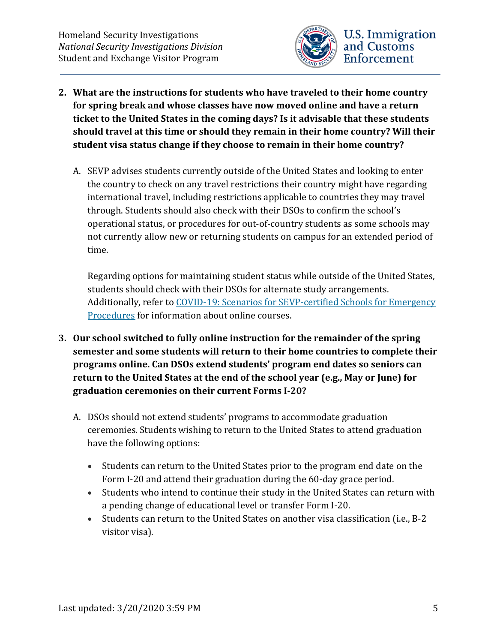

- **2. What are the instructions for students who have traveled to their home country for spring break and whose classes have now moved online and have a return ticket to the United States in the coming days? Is it advisable that these students should travel at this time or should they remain in their home country? Will their student visa status change if they choose to remain in their home country?**
	- A. SEVP advises students currently outside of the United States and looking to enter the country to check on any travel restrictions their country might have regarding international travel, including restrictions applicable to countries they may travel through. Students should also check with their DSOs to confirm the school's operational status, or procedures for out-of-country students as some schools may not currently allow new or returning students on campus for an extended period of time.

Regarding options for maintaining student status while outside of the United States, students should check with their DSOs for alternate study arrangements. Additionally, refer to [COVID-19: Scenarios for SEVP-certified Schools for Emergency](https://www.ice.gov/sites/default/files/documents/Document/2020/Coronavirus%20Guidance_3.13.20.pdf)  [Procedures](https://www.ice.gov/sites/default/files/documents/Document/2020/Coronavirus%20Guidance_3.13.20.pdf) for information about online courses.

- **3. Our school switched to fully online instruction for the remainder of the spring semester and some students will return to their home countries to complete their programs online. Can DSOs extend students' program end dates so seniors can return to the United States at the end of the school year (e.g., May or June) for graduation ceremonies on their current Forms I-20?**
	- A. DSOs should not extend students' programs to accommodate graduation ceremonies. Students wishing to return to the United States to attend graduation have the following options:
		- Students can return to the United States prior to the program end date on the Form I-20 and attend their graduation during the 60-day grace period.
		- Students who intend to continue their study in the United States can return with a pending change of educational level or transfer Form I-20.
		- Students can return to the United States on another visa classification (i.e., B-2 visitor visa).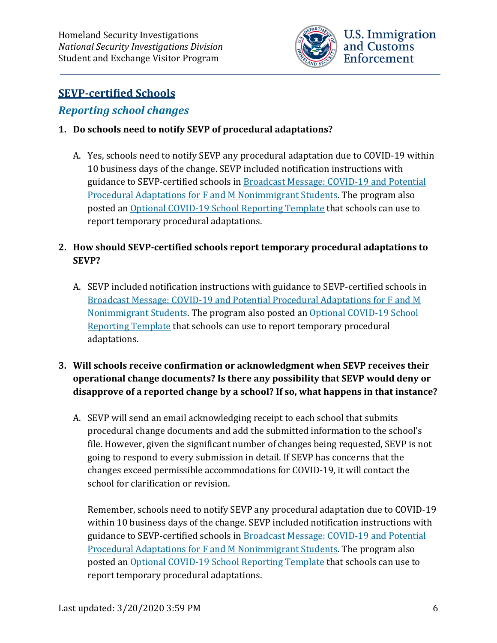

## <span id="page-5-0"></span>**SEVP-certified Schools**

#### <span id="page-5-1"></span>*Reporting school changes*

#### **1. Do schools need to notify SEVP of procedural adaptations?**

A. Yes, schools need to notify SEVP any procedural adaptation due to COVID-19 within 10 business days of the change. SEVP included notification instructions with guidance to SEVP-certified schools in [Broadcast Message: COVID-19 and Potential](https://www.ice.gov/doclib/sevis/pdf/bcm2003-01.pdf)  [Procedural Adaptations for F and M Nonimmigrant Students.](https://www.ice.gov/doclib/sevis/pdf/bcm2003-01.pdf) The program also posted an Optional COVID-19 [School Reporting Template](https://www.ice.gov/doclib/sevis/pdf/coronavirusSEVP_ReportingTemplate.pdf) that schools can use to report temporary procedural adaptations.

#### **2. How should SEVP-certified schools report temporary procedural adaptations to SEVP?**

A. SEVP included notification instructions with guidance to SEVP-certified schools in Broadcast Message: COVID-19 [and Potential Procedural Adaptations for F and M](https://www.ice.gov/doclib/sevis/pdf/bcm2003-01.pdf)  [Nonimmigrant Students.](https://www.ice.gov/doclib/sevis/pdf/bcm2003-01.pdf) The program also posted an [Optional COVID-19 School](https://www.ice.gov/doclib/sevis/pdf/coronavirusSEVP_ReportingTemplate.pdf)  [Reporting Template](https://www.ice.gov/doclib/sevis/pdf/coronavirusSEVP_ReportingTemplate.pdf) that schools can use to report temporary procedural adaptations.

## **3. Will schools receive confirmation or acknowledgment when SEVP receives their operational change documents? Is there any possibility that SEVP would deny or disapprove of a reported change by a school? If so, what happens in that instance?**

A. SEVP will send an email acknowledging receipt to each school that submits procedural change documents and add the submitted information to the school's file. However, given the significant number of changes being requested, SEVP is not going to respond to every submission in detail. If SEVP has concerns that the changes exceed permissible accommodations for COVID-19, it will contact the school for clarification or revision.

Remember, schools need to notify SEVP any procedural adaptation due to COVID-19 within 10 business days of the change. SEVP included notification instructions with guidance to SEVP-certified schools in **Broadcast Message: COVID-19 and Potential** [Procedural Adaptations for F and M Nonimmigrant Students.](https://www.ice.gov/doclib/sevis/pdf/bcm2003-01.pdf) The program also posted an Optional COVID-19 [School Reporting Template](https://www.ice.gov/doclib/sevis/pdf/coronavirusSEVP_ReportingTemplate.pdf) that schools can use to report temporary procedural adaptations.